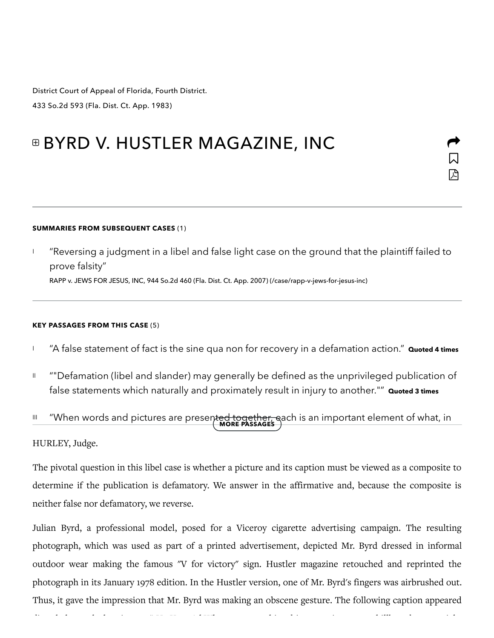District Court of Appeal of Florida, Fourth District. 433 So.2d 593 (Fla. Dist. Ct. App. 1983)

# *<b>■ BYRD V. HUSTLER MAGAZINE, INC*

#### SUMMARIES FROM SUBSEQUENT CASES (1)

"Reversing a judgment in a libel and false light case on the ground that the plaintiff failed to prove falsity" RAPP v. JEWS FOR JESUS, INC, 944 So.2d 460 (Fla. Dist. Ct. App. 2007) [\(/case/rapp-v-jews-for-jesus-inc\)](https://casetext.com/case/rapp-v-jews-for-jesus-inc) I

 $\Box$ 

 $\blacktriangleright$ 

囚

#### KEY PASSAGES FROM THIS CASE (5)

- <sup>1</sup> "A false statement of fact is the sine qua non for recovery in a defamation action." **Quoted 4 times**
- ""Defamation (libel and slander) may generally be defined as the unprivileged publication of false statements which naturally and proximately result in injury to another."" Quoted 3 times II

## III "When words and pictures are present<del>ed together, e</del>ach is an important element of what, in<br>MORE PASSAGES

### HURLEY, Judge.

The pivotal question in this libel case is whether a picture and its caption must be viewed as a composite to determine if the publication is defamatory. We answer in the affirmative and, because the composite is neither false nor defamatory, we reverse.

Julian Byrd, a professional model, posed for a Viceroy cigarette advertising campaign. The resulting photograph, which was used as part of a printed advertisement, depicted Mr. Byrd dressed in informal outdoor wear making the famous "V for victory" sign. Hustler magazine retouched and reprinted the photograph in its January 1978 edition. In the Hustler version, one of Mr. Byrd's fingers was airbrushed out. Thus, it gave the impression that Mr. Byrd was making an obscene gesture. The following caption appeared

directl eneath the picture: " Up Your Ad When ou aw thi ad in magazine or on illoard, ou might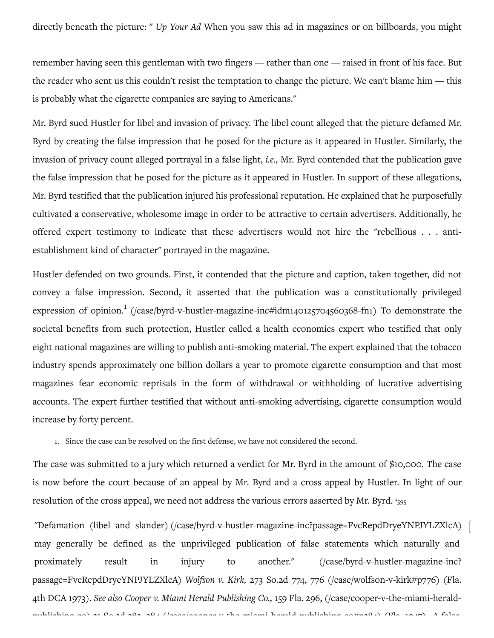directly beneath the picture: " Up Your Ad When you saw this ad in magazines or on billboards, you might

remember having seen this gentleman with two fingers — rather than one — raised in front of his face. But the reader who sent us this couldn't resist the temptation to change the picture. We can't blame him  $-$  this is probably what the cigarette companies are saying to Americans."

Mr. Byrd sued Hustler for libel and invasion of privacy. The libel count alleged that the picture defamed Mr. Byrd by creating the false impression that he posed for the picture as it appeared in Hustler. Similarly, the invasion of privacy count alleged portrayal in a false light, *i.e.*, Mr. Byrd contended that the publication gave the false impression that he posed for the picture as it appeared in Hustler. In support of these allegations, Mr. Byrd testified that the publication injured his professional reputation. He explained that he purposefully cultivated a conservative, wholesome image in order to be attractive to certain advertisers. Additionally, he offered expert testimony to indicate that these advertisers would not hire the "rebellious . . . antiestablishment kind of character" portrayed in the magazine.

Hustler defended on two grounds. First, it contended that the picture and caption, taken together, did not convey a false impression. Second, it asserted that the publication was a constitutionally privileged expression of opinion.<sup>1</sup> (/case/byrd-v-hustler-magazine-inc#idm140125704560368-fn1) To demonstrate the societal benefits from such protection, Hustler called a health economics expert who testified that only eight national magazines are willing to publish anti-smoking material. The expert explained that the tobacco industry spends approximately one billion dollars a year to promote cigarette consumption and that most magazines fear economic reprisals in the form of withdrawal or withholding of lucrative advertising accounts. The expert further testified that without anti-smoking advertising, cigarette consumption would increase by forty percent.

1. Since the case can be resolved on the first defense, we have not considered the second.

The case was submitted to a jury which returned a verdict for Mr. Byrd in the amount of \$10,000. The case is now before the court because of an appeal by Mr. Byrd and a cross appeal by Hustler. In light of our resolution of the cross appeal, we need not address the various errors asserted by Mr. Byrd. \*595

"Defamation (libel and slander) (/case/byrd-v-hustler-magazine-inc?passage=FvcRepdDryeYNPJYLZXlcA) may generally be defined as the unprivileged publication of false statements which naturally and proximately result in injury to another." (/case/byrd-v-hustler-magazine-inc? passage=FvcRepdDryeYNPJYLZXlcA) Wolfson v. Kirk, 273 So.2d 774, 776 (/case/wolfson-v-kirk#p776) (Fla. 4th DCA 1973). See also Cooper v. Miami Herald Publishing Co., 159 Fla. 296, (/case/cooper-v-the-miami-heraldpulihing-co) 31 o.2d 382, 384 [\(/cae/cooper-v-the-miami-herald-pulihing-co#p384\)](https://casetext.com/case/cooper-v-the-miami-herald-publishing-co#p384) (Fla. 1947). A fale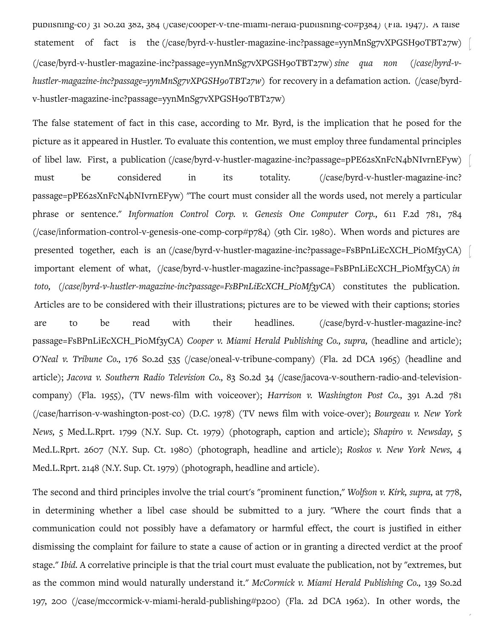publisning-co) 31 so.2d 382, 384 (/case/cooper-v-the-miami-herald-publisning-co#p384) (Fla. 1947). A false statement of fact is the (/case/byrd-v-hustler-magazine-inc?passage=yynMnSg7vXPGSH9oTBT27w) (/case/byrd-v-hustler-magazine-inc?passage=yynMnSg7vXPGSH9oTBT27w) sine qua non (/case/byrd-vhustler-magazine-inc?passage=yynMnSg7vXPGSH9oTBT27w) for recovery in a defamation action. (/case/byrdv-hustler-magazine-inc?passage=yynMnSg7vXPGSH9oTBT27w)

The false statement of fact in this case, according to Mr. Byrd, is the implication that he posed for the picture as it appeared in Hustler. To evaluate this contention, we must employ three fundamental principles of libel law. First, a publication (/case/byrd-v-hustler-magazine-inc?passage=pPE62sXnFcN4bNIvrnEFyw) must be considered in its totality. ((case/byrd-v-hustler-magazine-inc?) passage=pPE62sXnFcN4bNIvrnEFyw) "The court must consider all the words used, not merely a particular phrase or sentence." Information Control Corp. v. Genesis One Computer Corp., 611 F.2d 781, 784  $(\frac{1}{\sqrt{2}}\cos\theta)$  (/case/information-control-v-genesis-one-comp-corp#p784) (9th Cir. 1980). When words and pictures are presented together, each is an (/case/byrd-v-hustler-magazine-inc?passage=FsBPnLiEcXCH\_Pi0Mf3yCA) important element of what, (/case/byrd-v-hustler-magazine-inc?passage=FsBPnLiEcXCH\_Pi0Mf3yCA)in toto, (/case/byrd-v-hustler-magazine-inc?passage=FsBPnLiEcXCH\_Pi0Mf3yCA) constitutes the publication. Articles are to be considered with their illustrations; pictures are to be viewed with their captions; stories are to be read with their headlines. (/case/byrd-v-hustler-magazine-inc? passage=FsBPnLiEcXCH\_Pi0Mf3yCA) Cooper v. Miami Herald Publishing Co., supra, (headline and article); O'Neal v. Tribune Co., 176 So.2d 535 (/case/oneal-v-tribune-company) (Fla. 2d DCA 1965) (headline and article); Jacova v. Southern Radio Television Co., 83 So.2d 34 (/case/jacova-v-southern-radio-and-televisioncompany) (Fla. 1955), (TV news-film with voiceover); Harrison v. Washington Post Co., 391 A.2d 781 (/case/harrison-v-washington-post-co) (D.C. 1978) (TV news film with voice-over); Bourgeau v. New York News, 5 Med.L.Rprt. 1799 (N.Y. Sup. Ct. 1979) (photograph, caption and article); Shapiro v. Newsday, 5 Med.L.Rprt. 2607 (N.Y. Sup. Ct. 1980) (photograph, headline and article); Roskos v. New York News, 4 Med.L.Rprt. 2148 (N.Y. Sup. Ct. 1979) (photograph, headline and article).

The second and third principles involve the trial court's "prominent function," Wolfson v. Kirk, supra, at 778, in determining whether a libel case should be submitted to a jury. "Where the court finds that a communication could not possibly have a defamatory or harmful effect, the court is justified in either dismissing the complaint for failure to state a cause of action or in granting a directed verdict at the proof stage." Ibid. A correlative principle is that the trial court must evaluate the publication, not by "extremes, but as the common mind would naturally understand it." McCormick v. Miami Herald Publishing Co., 139 So.2d 197, 200 (/case/mccormick-v-miami-herald-publishing#p200) (Fla. 2d DCA 1962). In other words, the